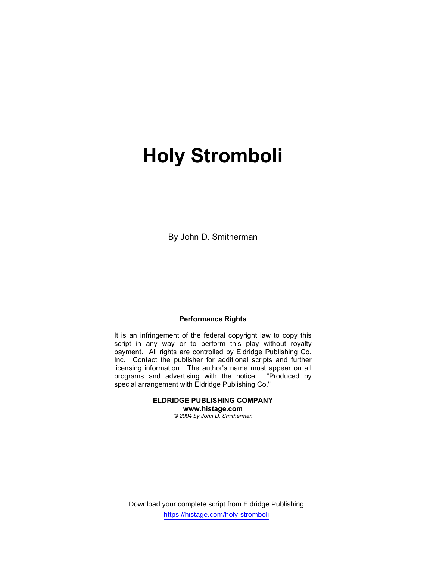# Holy Stromboli

By John D. Smitherman

### Performance Rights

It is an infringement of the federal copyright law to copy this script in any way or to perform this play without royalty payment. All rights are controlled by Eldridge Publishing Co. Inc. Contact the publisher for additional scripts and further licensing information. The author's name must appear on all programs and advertising with the notice: "Produced by special arrangement with Eldridge Publishing Co."

> ELDRIDGE PUBLISHING COMPANY www.histage.com © 2004 by John D. Smitherman

Download your complete script from Eldridge Publishing https://histage.com/holy-stromboli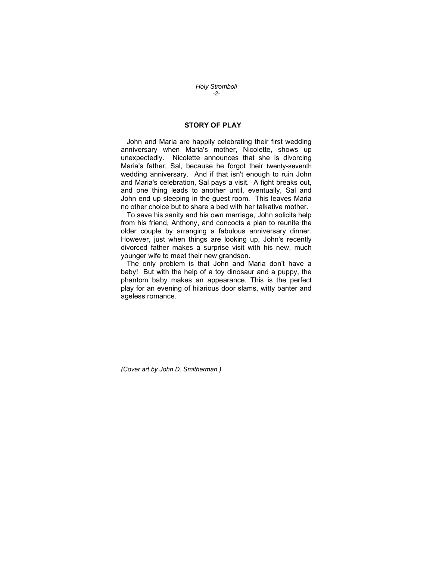Holy Stromboli -2-

## STORY OF PLAY

 John and Maria are happily celebrating their first wedding anniversary when Maria's mother, Nicolette, shows up unexpectedly. Nicolette announces that she is divorcing Maria's father, Sal, because he forgot their twenty-seventh wedding anniversary. And if that isn't enough to ruin John and Maria's celebration, Sal pays a visit. A fight breaks out, and one thing leads to another until, eventually, Sal and John end up sleeping in the guest room. This leaves Maria no other choice but to share a bed with her talkative mother.

 To save his sanity and his own marriage, John solicits help from his friend, Anthony, and concocts a plan to reunite the older couple by arranging a fabulous anniversary dinner. However, just when things are looking up, John's recently divorced father makes a surprise visit with his new, much younger wife to meet their new grandson.

 The only problem is that John and Maria don't have a baby! But with the help of a toy dinosaur and a puppy, the phantom baby makes an appearance. This is the perfect play for an evening of hilarious door slams, witty banter and ageless romance.

(Cover art by John D. Smitherman.)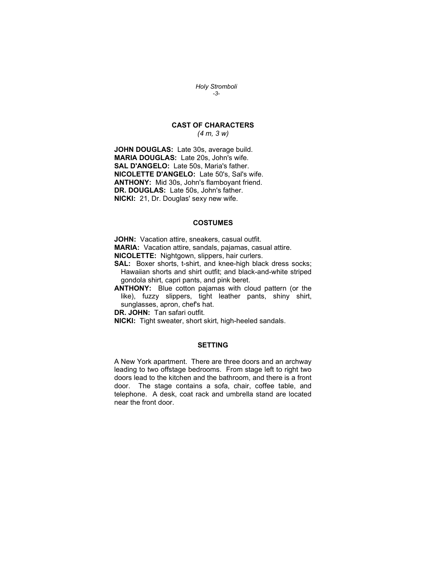Holy Stromboli -3-

# CAST OF CHARACTERS

(4 m, 3 w)

JOHN DOUGLAS: Late 30s, average build. MARIA DOUGLAS: Late 20s, John's wife. SAL D'ANGELO: Late 50s, Maria's father. NICOLETTE D'ANGELO: Late 50's, Sal's wife. ANTHONY: Mid 30s, John's flamboyant friend. DR. DOUGLAS: Late 50s, John's father. NICKI: 21, Dr. Douglas' sexy new wife.

#### **COSTUMES**

JOHN: Vacation attire, sneakers, casual outfit.

MARIA: Vacation attire, sandals, pajamas, casual attire.

NICOLETTE: Nightgown, slippers, hair curlers.

SAL: Boxer shorts, t-shirt, and knee-high black dress socks; Hawaiian shorts and shirt outfit; and black-and-white striped gondola shirt, capri pants, and pink beret.

ANTHONY: Blue cotton pajamas with cloud pattern (or the like), fuzzy slippers, tight leather pants, shiny shirt, sunglasses, apron, chef's hat.

DR. JOHN: Tan safari outfit.

NICKI: Tight sweater, short skirt, high-heeled sandals.

#### **SETTING**

A New York apartment. There are three doors and an archway leading to two offstage bedrooms. From stage left to right two doors lead to the kitchen and the bathroom, and there is a front door. The stage contains a sofa, chair, coffee table, and telephone. A desk, coat rack and umbrella stand are located near the front door.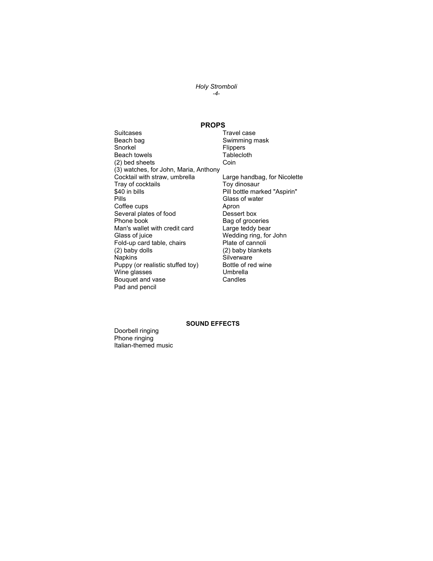Holy Stromboli -4-

### PROPS

- Suitcases Travel case Beach bag **Swimming mask**<br>
Snorkel **Shorkel** Flippers<br>Tablecloth Beach towels (2) bed sheets Coin (3) watches, for John, Maria, Anthony Cocktail with straw, umbrella Large handbag, for Nicolette Tray of cocktails Tray dinosaur<br>
\$40 in bills Toy dinosaur<br>
Pill bottle mar \$40 in bills **Pill bottle marked "Aspirin"**<br>
Pills Pills **Pills** Glass of water Coffee cups Several plates of food Dessert box Phone book Bag of groceries<br>
Man's wallet with credit card Large teddy bear Man's wallet with credit card<br>Glass of juice Fold-up card table, chairs  $(2)$  baby dolls (2) baby dolls (2) baby blankets<br>
Napkins (2) Silverware Puppy (or realistic stuffed toy) Bottle of r<br>Wine glasses Umbrella Wine glasses **Umbrella**<br>Bouquet and vase **Example Section** Bouquet and vase Pad and pencil
	- Glass of water<br>Apron Wedding ring, for John<br>Plate of cannoli Silverware<br>Bottle of red wine

#### SOUND EFFECTS

Doorbell ringing Phone ringing Italian-themed music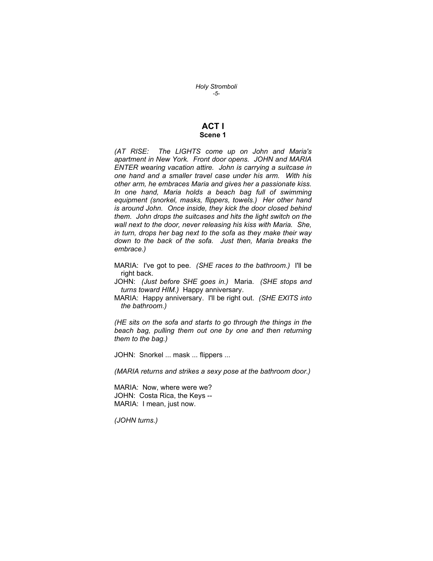Holy Stromboli -5-

## ACT I Scene 1

(AT RISE: The LIGHTS come up on John and Maria's apartment in New York. Front door opens. JOHN and MARIA ENTER wearing vacation attire. John is carrying a suitcase in one hand and a smaller travel case under his arm. With his other arm, he embraces Maria and gives her a passionate kiss. In one hand, Maria holds a beach bag full of swimming equipment (snorkel, masks, flippers, towels.) Her other hand is around John. Once inside, they kick the door closed behind them. John drops the suitcases and hits the light switch on the wall next to the door, never releasing his kiss with Maria. She, in turn, drops her bag next to the sofa as they make their way down to the back of the sofa. Just then, Maria breaks the embrace.)

- MARIA: I've got to pee. (SHE races to the bathroom.) I'll be right back.
- JOHN: (Just before SHE goes in.) Maria. (SHE stops and turns toward HIM.) Happy anniversary.
- MARIA: Happy anniversary. I'll be right out. (SHE EXITS into the bathroom.)

(HE sits on the sofa and starts to go through the things in the beach bag, pulling them out one by one and then returning them to the bag.)

JOHN: Snorkel ... mask ... flippers ...

(MARIA returns and strikes a sexy pose at the bathroom door.)

MARIA: Now, where were we? JOHN: Costa Rica, the Keys -- MARIA: I mean, just now.

(JOHN turns.)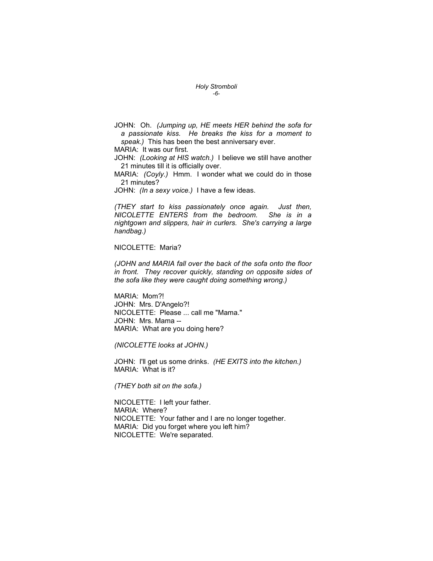#### Holy Stromboli -6-

JOHN: Oh. (Jumping up, HE meets HER behind the sofa for a passionate kiss. He breaks the kiss for a moment to speak.) This has been the best anniversary ever.

MARIA: It was our first.

JOHN: (Looking at HIS watch.) I believe we still have another 21 minutes till it is officially over.

MARIA: (Coyly.) Hmm. I wonder what we could do in those 21 minutes?

JOHN: (In a sexy voice.) I have a few ideas.

(THEY start to kiss passionately once again. Just then, NICOLETTE ENTERS from the bedroom. She is in a nightgown and slippers, hair in curlers. She's carrying a large handbag.)

#### NICOLETTE: Maria?

(JOHN and MARIA fall over the back of the sofa onto the floor in front. They recover quickly, standing on opposite sides of the sofa like they were caught doing something wrong.)

MARIA: Mom?! JOHN: Mrs. D'Angelo?! NICOLETTE: Please ... call me "Mama." JOHN: Mrs. Mama -- MARIA: What are you doing here?

(NICOLETTE looks at JOHN.)

JOHN: I'll get us some drinks. (HE EXITS into the kitchen.) MARIA: What is it?

(THEY both sit on the sofa.)

NICOLETTE: I left your father. MARIA: Where? NICOLETTE: Your father and I are no longer together. MARIA: Did you forget where you left him? NICOLETTE: We're separated.